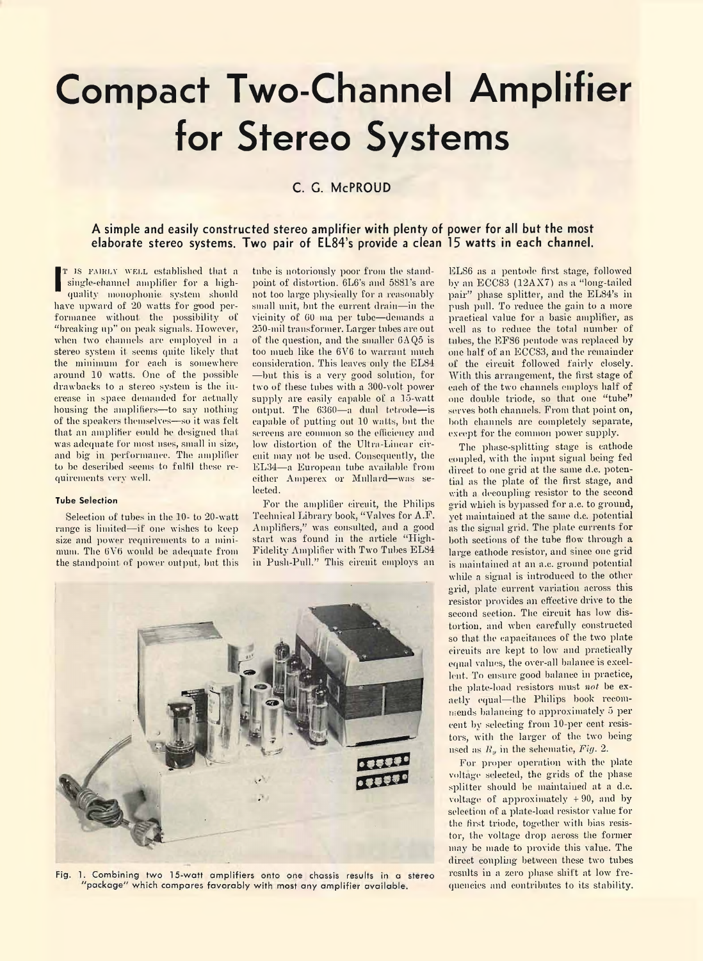# **Compact Two-Channel Amplifier for Stereo Systems**

## **C. G. McPROUD**

### **A simple and easily constructed stereo amplifier with plenty of power for all but the most elaborate stereo systems. Two pair of EL84's provide a clean 15 watts in each channel.**

**I E** IS FAIRLY WELL ESTADISHED that a<br>
single-channel amplifier for a high-<br>
quality monophonic system should<br>
have upward of 20 watts for good per-T IS FAIRLY WELL established that a single-channel amplifier for a highquality monophonic system should formance without the possibility of "breaking up" on peak signals. However, when two channels are employed in a stereo system it seems quite likely that the minimum for each is somewhere around 10 watts. One of the possible drawbacks to a stereo system is the increase in space demanded for actually housing the amplifiers—to say nothing of the speakers themselves—so it was felt that an amplifier could be designed that was adequate for most uses, small in size, and big in performance. The amplifier to be described seems to fulfil these requirements very well.

#### **Tube Selection**

Selection of tubes in the 10- to 20-watt range is limited—if one wishes to keep size and power requirements to a minimum. The 6V6 would be adequate from the standpoint of power output, bnt this

tnbe is notoriously poor from the standpoint of distortion. 6L6's and 5881's are not too large physically for a reasonably small unit, bnt the current drain—in the vicinity of GO ma per tube—demands a 250-mil transformer. Larger tubes arc out of the question, and the smaller  $6AQ5$  is too much like the 6V6 to warrant much consideration. This leaves only the EL84 —but this is a very good solution, for two of these tubes with a 300-volt power supply are easily capable of a 15-watt output. The 6360—a dual tetrode—is capable of putting out 10 watts, but the screens are common so the efficiency and low distortion of the Ultra-Linear circuit may not be used. Consequently, the EL34—a European tube available from either Amperex or Milliard—was selected.

For the amplifier circuit, the Philips Technical Library book, "Valves for A.F. Amplifiers," was consulted, and a good start was found in the article "High-Fidelity Amplifier with Two Tubes EL84 in Push-Pull." This circuit employs an



Fig. 1. Combining two 15-watt amplifiers onto one chassis results in a stereo package" which compares favorably with most any amplifier available.

ELS6 as a pentode first stage, followed by an ECC83 (12AX7) as a "long-tailed pair" phase splitter, and the EL84's in push pull. To reduce the gain to a more practical value for a basic amplifier, as well as to reduce the total number of tubes, the EF86 pentode was replaced by one half of an ECCS3, and the remainder of the circuit followed fairly closely. With this arrangement, the first stage of each of the two channels employs half of one double triode, so that one "tube" serves both channels. From that point on, both channels are completely separate, except for the common power supply.

The phase-splitting stage is cathode coupled, with the input signal being fed direct to one grid at the same d.c. potential as the plate of the first stage, and with a decoupling resistor to the second grid which is bypassed for a.c. to ground, vet maintained at the same d.c. potential as the signal grid. The plate currents for both sections of the tube flow through a large cathode resistor, and since one grid is maintained at an a.c. ground potential while a signal is introduced to the other grid, plate current variation across this resistor provides an effective drive to the second section. The circuit has low distortion, and when carefully constructed so that the capacitances of the two plate circuits are kept to low and practically equal values, the over-all balance is excellent. To ensure good balance in practice, the plate-load resistors must *not* be exactly equal—the Philips book recommends balancing to approximately 5 per cent bv selecting from 10-per cent resistors, with the larger of the two being used as *It,* in the schematic, *Fig.* 2.

For proper operation with the plate voltage selected, the grids of the phase splitter should be maintained at a d.e. voltage of approximately  $+90$ , and by selection of a plate-load resistor value for the first triode, together with bias resistor, the voltage drop across the former may he made to provide this value. The direct coupling between these two tubes results in a zero phase shift at low frequencies and contributes to its stability.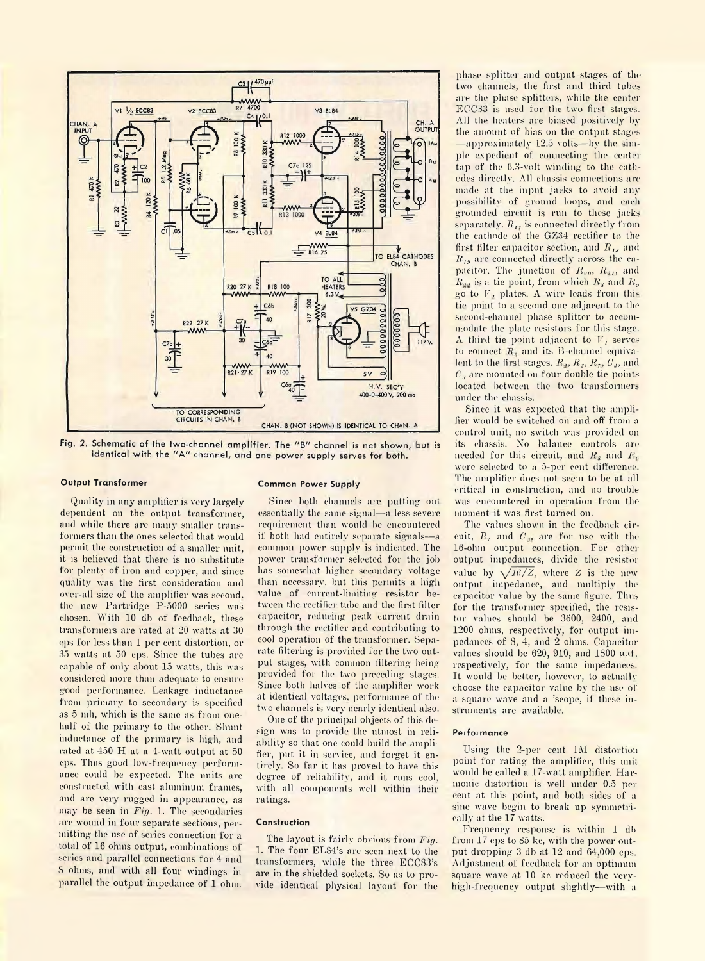

Fig. 2. Schematic of the two-channel amplifier. The "B" channel is not shown, but is identical with the "A" channel, and one power supply serves for both.

#### **Output Transformer**

Quality in any amplifier is very largely dependent on the output transformer, and while there are many smaller transformers than the ones selected that would permit the construction of a smaller unit, it is believed that there is no substitute for plenty of iron and copper, and since quality was the first consideration and over-all size of the amplifier was second, the new Partridge P-5000 series was chosen. With 10 db of feedback, these transformers are rated at 20 watts at 30 cps for less than 1 per cent distortion, or 35 watts at 50 cps. Since the tubes are capable of only about 15 watts, this was considered more than adequate to ensure good performance. Leakage inductance from primary to secondary is specified as 5 mil, which is the same as from onehalf of the primary to the other. Shunt inductance of the primary is high, and rated at 450 H at a 4-watt output at 50 cps. Thus good low-frequency performance could be expected. The units are constructed with east aluminum frames, and are very rugged in appearance, as may be seen in *Fig.* 1. The secondaries are wound in four separate sections, permitting the use of series connection for a total of 16 ohms output, combinations of series and parallel connections for 4 and S ohms, and with all four windings in parallel the output impedance of 1 ohm.

#### **Common Power Supply**

Since both channels are putting out essentially the same signal—a less severe requirement than would he encountered if both had entirely separate signals—a common power supply is indicated. The power transformer selected for the job has somewhat higher secondary voltage than necessary, but this permits a high value of current-limiting resistor between the rectifier tube and the first filter capacitor, reducing peak current drain through the rectifier and contributing to cool operation of the transformer. Separate filtering is provided for the two output stages, with common filtering beingprovided for the two preceding stages. Since both halves of the amplifier work at identical voltages, performance of the two channels is very nearly identical also.

One of the principal objects of this design was to provide the utmost in reliability so that one could build the amplifier, put it in service, and forget it entirely. So far it has proved to have this degree of reliability, and it runs cool, with all components well within their ratings.

#### **Construction**

The layout is fairly obvious from *Fig.* 1. The four EL84's are seen next to the transformers, while the three ECC83's are in the shielded sockets. So as to provide identical physical layout for the

phase splitter and output stages of the two channels, the first and third tubes are the phase splitters, while the center ECC33 is used for the two first stages. All the heaters are biased positively by the amount of bias on the output stages —approximately 12.5 volts—by the simple expedient of connecting the center tap of the 6.3-volt winding to the cathodes directly. All chassis connections are made at the input jacks to avoid any possibility of ground loops, and each grounded circuit is run to these jacks separately.  $R_{12}$  is connected directly from the cathode of the GZ34 rectifier to the first filter capacitor section, and R<sub>1</sub>, and *R.,,j* are connected directly across the capacitor. The junction of  $R_{20}, R_{21},$  and  $R_{\mu\nu}$  is a tie point, from which  $R_{\nu}$  and  $R_{\nu}$ go to *V,* plates. A wire leads from this tie point to a second one adjacent to the second-channel phase splitter to accommodate the plate resistors for this stage. A third tie point adjacent to *V,* serves to connect  $R_4$  and its B-channel equivalent to the first stages.  $R_1, R_3, R_5, C_2$ , and *Cj* are mounted on four double tie points located between the two transformers under the chassis.

Since it was expected that the amplifier would be switched on and off from a control unit, no switch was provided on its chassis. No balance controls are needed for this circuit, and *Rs* and *R.,* were selected to a 5-per cent difference. The amplifier does not seem to be at all critical in construction, and no trouble was encountered in operation from the moment it was first turned on.

The values shown in the feedback circuit,  $R_7$  and  $C_4$ , are for use with the 16-ohm output connection. For other output impedances, divide the resistor value by  $\sqrt{16/Z}$ , where *Z* is the new output impedance, and multiply the capacitor value by the same figure. Thus for the transformer specified, the resistor values should be 3600, 2400, and 1200 ohms, respectively, for output impedances of 8, 4, and 2 ohms. Capacitor values should be  $620$ ,  $910$ , and  $1800 \mu/f$ . respectively, for the same impedances. It would be better, however, to actually choose the capacitor value by the use of a square wave and a 'scope, if these instruments are available.

#### **Peifoimance**

Using the 2-per cent IM distortion point for rating the amplifier, this unit would be called a 17-watt amplifier. Harmonic distortion is well under 0.5 per cent at this point, and both sides of a sine wave begin to break up symmetrically at the 17 watts.

Frequency response is within 1 db from 17 eps to 85 ke, with the power output dropping 3 db at 12 and 64,000 cps. Adjustment of feedback for an optimum square wave at 10 kc reduced the veryhigh-frequency output slightly—with a